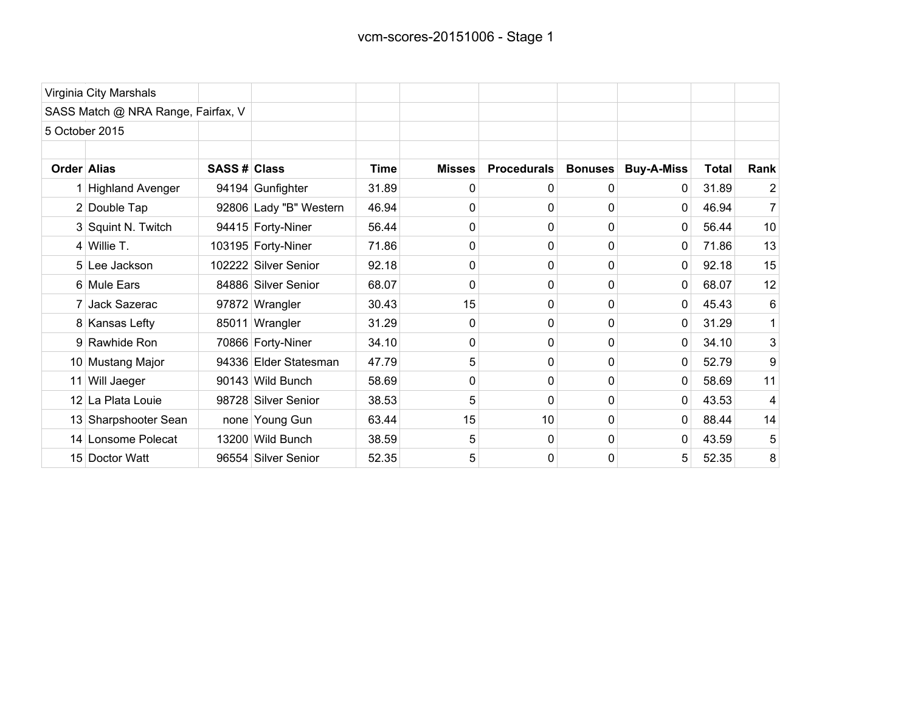|             | Virginia City Marshals             |              |                        |             |               |                    |                |                   |              |      |
|-------------|------------------------------------|--------------|------------------------|-------------|---------------|--------------------|----------------|-------------------|--------------|------|
|             | SASS Match @ NRA Range, Fairfax, V |              |                        |             |               |                    |                |                   |              |      |
|             | 5 October 2015                     |              |                        |             |               |                    |                |                   |              |      |
| Order Alias |                                    | SASS # Class |                        | <b>Time</b> | <b>Misses</b> | <b>Procedurals</b> | <b>Bonuses</b> | <b>Buy-A-Miss</b> | <b>Total</b> | Rank |
|             | 1 Highland Avenger                 |              | 94194 Gunfighter       | 31.89       | 0             | 0                  | 0              | 0                 | 31.89        | 2    |
|             | 2 Double Tap                       |              | 92806 Lady "B" Western | 46.94       | 0             | $\Omega$           | $\Omega$       | 0                 | 46.94        | 7    |
|             | 3 Squint N. Twitch                 |              | 94415 Forty-Niner      | 56.44       | 0             | 0                  | 0              | 0                 | 56.44        | 10   |
|             | $4$ Willie T.                      |              | 103195 Forty-Niner     | 71.86       | 0             | 0                  | 0              | 0                 | 71.86        | 13   |
|             | 5 Lee Jackson                      |              | 102222 Silver Senior   | 92.18       | 0             | 0                  | 0              | 0                 | 92.18        | 15   |
|             | 6 Mule Ears                        |              | 84886 Silver Senior    | 68.07       | $\Omega$      | 0                  | $\Omega$       | 0                 | 68.07        | 12   |
|             | 7 Jack Sazerac                     |              | 97872 Wrangler         | 30.43       | 15            | 0                  | 0              | 0                 | 45.43        | 6    |
|             | 8 Kansas Lefty                     |              | 85011 Wrangler         | 31.29       | 0             | 0                  | 0              | 0                 | 31.29        |      |
|             | 9 Rawhide Ron                      |              | 70866 Forty-Niner      | 34.10       | 0             | $\Omega$           | 0              | 0                 | 34.10        | 3    |
|             | 10 Mustang Major                   |              | 94336 Elder Statesman  | 47.79       | 5             | 0                  | 0              | 0                 | 52.79        | 9    |
|             | 11 Will Jaeger                     |              | 90143 Wild Bunch       | 58.69       | 0             | 0                  | 0              | 0                 | 58.69        | 11   |
|             | 12 La Plata Louie                  |              | 98728 Silver Senior    | 38.53       | 5             | 0                  | 0              | 0                 | 43.53        | 4    |
|             | 13 Sharpshooter Sean               |              | none Young Gun         | 63.44       | 15            | 10                 | 0              | 0                 | 88.44        | 14   |
|             | 14 Lonsome Polecat                 |              | 13200 Wild Bunch       | 38.59       | 5             | 0                  | 0              | 0                 | 43.59        | 5    |
|             | 15 Doctor Watt                     |              | 96554 Silver Senior    | 52.35       | 5             | $\mathbf 0$        | 0              | 5                 | 52.35        | 8    |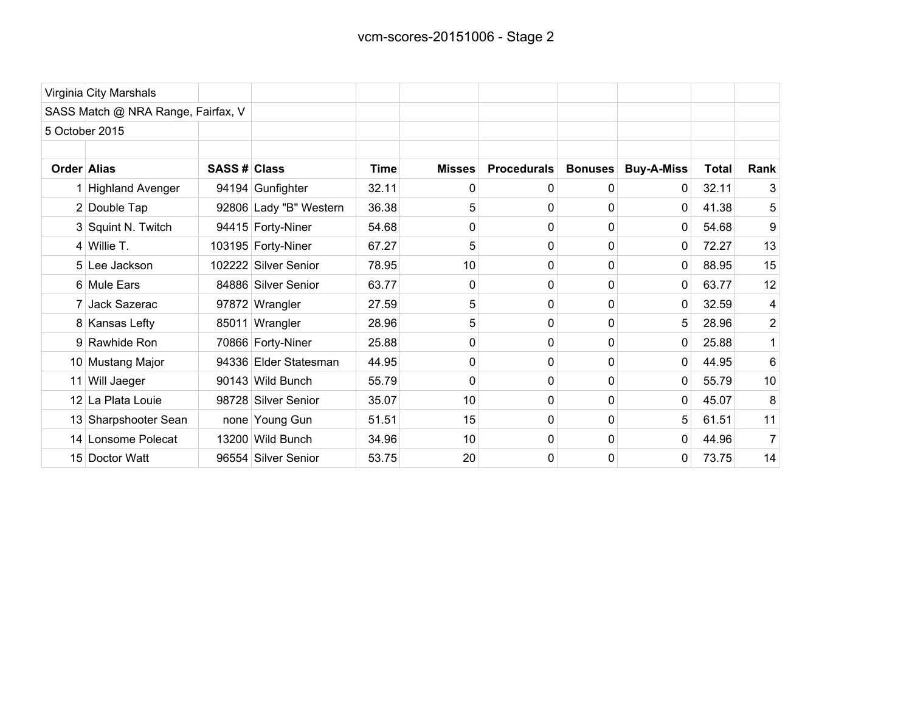| Virginia City Marshals             |              |                        |             |               |                    |                |                   |              |                |
|------------------------------------|--------------|------------------------|-------------|---------------|--------------------|----------------|-------------------|--------------|----------------|
| SASS Match @ NRA Range, Fairfax, V |              |                        |             |               |                    |                |                   |              |                |
| 5 October 2015                     |              |                        |             |               |                    |                |                   |              |                |
|                                    |              |                        |             |               |                    |                |                   |              |                |
| Order Alias                        | SASS # Class |                        | <b>Time</b> | <b>Misses</b> | <b>Procedurals</b> | <b>Bonuses</b> | <b>Buy-A-Miss</b> | <b>Total</b> | Rank           |
| 1 Highland Avenger                 |              | 94194 Gunfighter       | 32.11       | 0             | 0                  | 0              | 0                 | 32.11        | 3              |
| 2 Double Tap                       |              | 92806 Lady "B" Western | 36.38       | 5             | $\Omega$           | 0              | $\Omega$          | 41.38        | 5              |
| 3 Squint N. Twitch                 |              | 94415 Forty-Niner      | 54.68       | 0             | 0                  | 0              | 0                 | 54.68        | 9              |
| $4$ Willie T.                      |              | 103195 Forty-Niner     | 67.27       | 5             | 0                  | 0              | 0                 | 72.27        | 13             |
| 5 Lee Jackson                      |              | 102222 Silver Senior   | 78.95       | 10            | 0                  | 0              | 0                 | 88.95        | 15             |
| 6 Mule Ears                        |              | 84886 Silver Senior    | 63.77       | 0             | $\Omega$           | 0              | 0                 | 63.77        | 12             |
| 7 Jack Sazerac                     |              | 97872 Wrangler         | 27.59       | 5             | $\Omega$           | 0              | 0                 | 32.59        | 4              |
| 8 Kansas Lefty                     |              | 85011 Wrangler         | 28.96       | 5             | 0                  | 0              | 5                 | 28.96        | $\overline{2}$ |
| 9 Rawhide Ron                      |              | 70866 Forty-Niner      | 25.88       | 0             | 0                  | 0              | 0                 | 25.88        |                |
| 10 Mustang Major                   |              | 94336 Elder Statesman  | 44.95       | 0             | 0                  | 0              | 0                 | 44.95        | 6              |
| 11 Will Jaeger                     |              | 90143 Wild Bunch       | 55.79       | 0             | 0                  | 0              | 0                 | 55.79        | 10             |
| 12 La Plata Louie                  |              | 98728 Silver Senior    | 35.07       | 10            | 0                  | 0              | $\Omega$          | 45.07        | 8              |
| 13 Sharpshooter Sean               |              | none Young Gun         | 51.51       | 15            | 0                  | 0              | 5                 | 61.51        | 11             |
| 14 Lonsome Polecat                 |              | 13200 Wild Bunch       | 34.96       | 10            | $\Omega$           | 0              | 0                 | 44.96        | 7              |
| 15 Doctor Watt                     |              | 96554 Silver Senior    | 53.75       | 20            | 0                  | 0              | 0                 | 73.75        | 14             |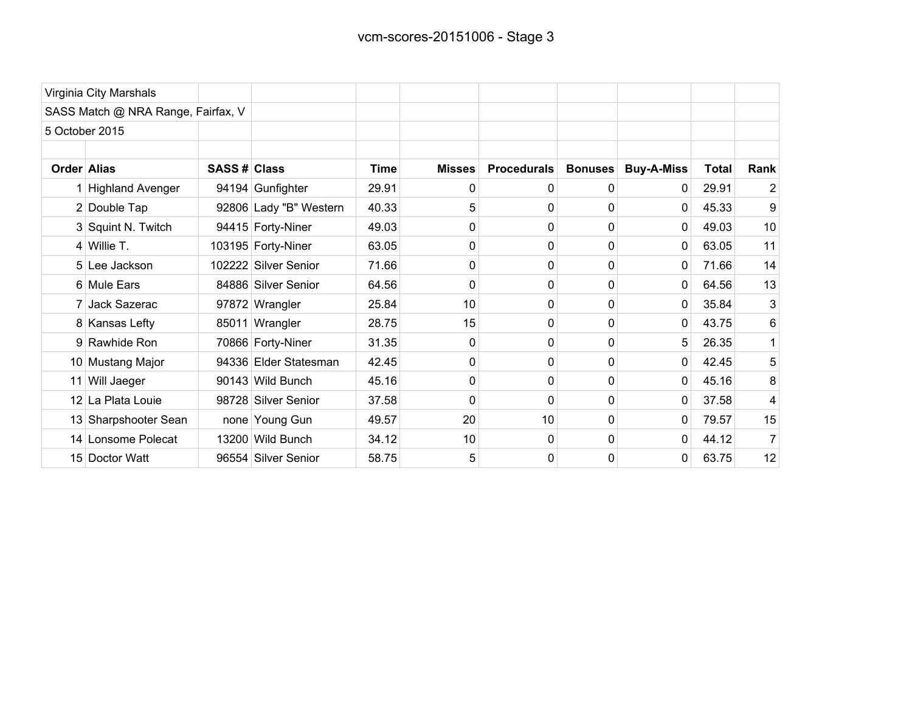| Virginia City Marshals             |              |                        |             |               |                    |                |                   |              |                |
|------------------------------------|--------------|------------------------|-------------|---------------|--------------------|----------------|-------------------|--------------|----------------|
| SASS Match @ NRA Range, Fairfax, V |              |                        |             |               |                    |                |                   |              |                |
| 5 October 2015                     |              |                        |             |               |                    |                |                   |              |                |
| Order Alias                        | SASS # Class |                        | <b>Time</b> | <b>Misses</b> | <b>Procedurals</b> | <b>Bonuses</b> | <b>Buy-A-Miss</b> | <b>Total</b> | Rank           |
| 1 Highland Avenger                 |              | 94194 Gunfighter       | 29.91       | 0             | 0                  | 0              | 0                 | 29.91        | $\overline{2}$ |
| 2 Double Tap                       |              | 92806 Lady "B" Western | 40.33       | 5             | 0                  | 0              | 0                 | 45.33        | 9              |
| 3 Squint N. Twitch                 |              | 94415 Forty-Niner      | 49.03       | 0             | 0                  | 0              | 0                 | 49.03        | 10             |
| $4$ Willie T.                      |              | 103195 Forty-Niner     | 63.05       | 0             | 0                  | 0              | $\overline{0}$    | 63.05        | 11             |
| 5 Lee Jackson                      |              | 102222 Silver Senior   | 71.66       | 0             | 0                  | 0              | 0                 | 71.66        | 14             |
| 6 Mule Ears                        |              | 84886 Silver Senior    | 64.56       | 0             | $\Omega$           | 0              | 0                 | 64.56        | 13             |
| 7 Jack Sazerac                     |              | 97872 Wrangler         | 25.84       | 10            | 0                  | 0              | 0                 | 35.84        | 3              |
| 8 Kansas Lefty                     |              | 85011 Wrangler         | 28.75       | 15            | 0                  | 0              | 0                 | 43.75        | 6              |
| 9 Rawhide Ron                      |              | 70866 Forty-Niner      | 31.35       | 0             | 0                  | 0              | 5                 | 26.35        |                |
| 10 Mustang Major                   |              | 94336 Elder Statesman  | 42.45       | 0             | 0                  | 0              | 0                 | 42.45        | 5              |
| 11 Will Jaeger                     |              | 90143 Wild Bunch       | 45.16       | 0             | 0                  | 0              | 0                 | 45.16        | 8              |
| 12 La Plata Louie                  |              | 98728 Silver Senior    | 37.58       | 0             | 0                  | 0              | $\overline{0}$    | 37.58        | 4              |
| 13 Sharpshooter Sean               |              | none Young Gun         | 49.57       | 20            | 10                 | 0              | 0                 | 79.57        | 15             |
| 14 Lonsome Polecat                 |              | 13200 Wild Bunch       | 34.12       | 10            | $\Omega$           | 0              | 0                 | 44.12        | 7              |
| 15 Doctor Watt                     |              | 96554 Silver Senior    | 58.75       | 5             | 0                  | 0              | 0                 | 63.75        | 12             |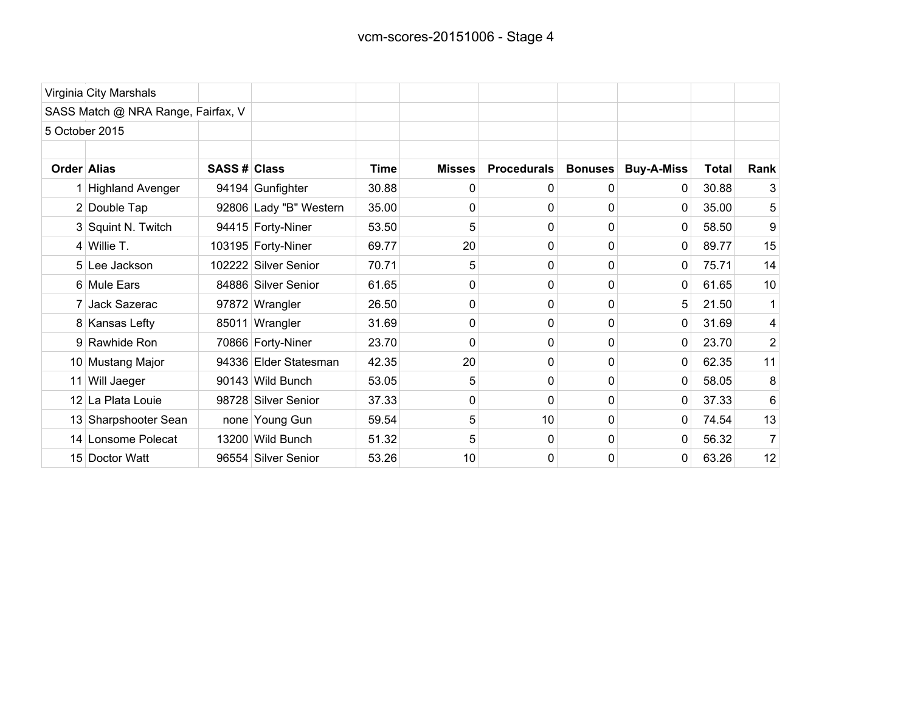|             | Virginia City Marshals             |              |                        |       |               |                    |                |                   |              |                  |
|-------------|------------------------------------|--------------|------------------------|-------|---------------|--------------------|----------------|-------------------|--------------|------------------|
|             | SASS Match @ NRA Range, Fairfax, V |              |                        |       |               |                    |                |                   |              |                  |
|             | 5 October 2015                     |              |                        |       |               |                    |                |                   |              |                  |
| Order Alias |                                    | SASS # Class |                        | Time  | <b>Misses</b> | <b>Procedurals</b> | <b>Bonuses</b> | <b>Buy-A-Miss</b> | <b>Total</b> | Rank             |
|             | 1 Highland Avenger                 |              | 94194 Gunfighter       | 30.88 | 0             | 0                  | 0              | 0                 | 30.88        | 3                |
|             | 2 Double Tap                       |              | 92806 Lady "B" Western | 35.00 | 0             | 0                  | 0              | 0                 | 35.00        | 5                |
|             | 3 Squint N. Twitch                 |              | 94415 Forty-Niner      | 53.50 | 5             | 0                  | 0              | 0                 | 58.50        | 9                |
|             | $4$ Willie T.                      |              | 103195 Forty-Niner     | 69.77 | 20            | 0                  | 0              | 0                 | 89.77        | 15               |
|             | 5 Lee Jackson                      |              | 102222 Silver Senior   | 70.71 | 5             | 0                  | 0              | 0                 | 75.71        | 14               |
|             | 6 Mule Ears                        |              | 84886 Silver Senior    | 61.65 | 0             | 0                  | 0              | 0                 | 61.65        | 10               |
|             | 7 Jack Sazerac                     |              | 97872 Wrangler         | 26.50 | 0             | 0                  | 0              | 5                 | 21.50        |                  |
|             | 8 Kansas Lefty                     |              | 85011 Wrangler         | 31.69 | 0             | 0                  | 0              | 0                 | 31.69        | 4                |
|             | 9 Rawhide Ron                      |              | 70866 Forty-Niner      | 23.70 | $\Omega$      | 0                  | 0              | 0                 | 23.70        | $\boldsymbol{2}$ |
|             | 10 Mustang Major                   |              | 94336 Elder Statesman  | 42.35 | 20            | 0                  | 0              | 0                 | 62.35        | 11               |
|             | 11 Will Jaeger                     |              | 90143 Wild Bunch       | 53.05 | 5             | 0                  | 0              | 0                 | 58.05        | 8                |
|             | 12 La Plata Louie                  |              | 98728 Silver Senior    | 37.33 | 0             | 0                  | 0              | 0                 | 37.33        | 6                |
|             | 13 Sharpshooter Sean               |              | none Young Gun         | 59.54 | 5             | 10                 | 0              | 0                 | 74.54        | 13               |
|             | 14 Lonsome Polecat                 |              | 13200 Wild Bunch       | 51.32 | 5             | 0                  | 0              | 0                 | 56.32        |                  |
|             | 15 Doctor Watt                     |              | 96554 Silver Senior    | 53.26 | 10            | 0                  | 0              | 0                 | 63.26        | 12               |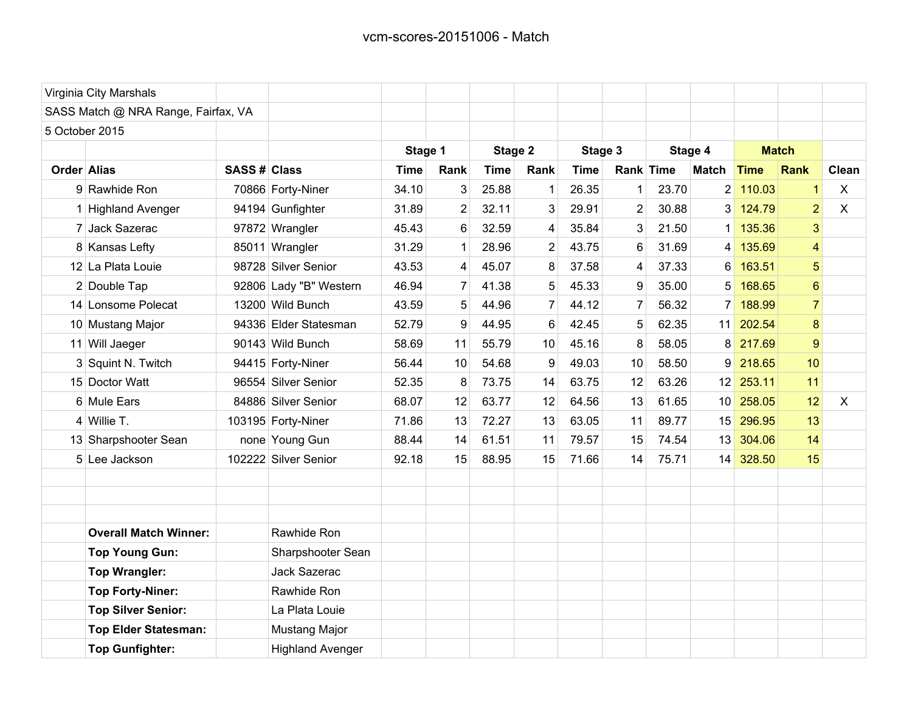|                | Virginia City Marshals              |                     |                         |             |                |             |                |         |                |         |                 |              |                 |              |
|----------------|-------------------------------------|---------------------|-------------------------|-------------|----------------|-------------|----------------|---------|----------------|---------|-----------------|--------------|-----------------|--------------|
|                | SASS Match @ NRA Range, Fairfax, VA |                     |                         |             |                |             |                |         |                |         |                 |              |                 |              |
| 5 October 2015 |                                     |                     |                         |             |                |             |                |         |                |         |                 |              |                 |              |
|                |                                     |                     |                         | Stage 1     |                | Stage 2     |                | Stage 3 |                | Stage 4 |                 | <b>Match</b> |                 |              |
| Order Alias    |                                     | <b>SASS # Class</b> |                         | <b>Time</b> | Rank           | <b>Time</b> | Rank           | Time    | Rank Time      |         | <b>Match</b>    | <b>Time</b>  | Rank            | Clean        |
|                | 9 Rawhide Ron                       |                     | 70866 Forty-Niner       | 34.10       | 3              | 25.88       | 1              | 26.35   | 1              | 23.70   | 2               | 110.03       | $\mathbf{1}$    | X            |
|                | 1 Highland Avenger                  |                     | 94194 Gunfighter        | 31.89       | 2              | 32.11       | 3              | 29.91   | 2              | 30.88   | $\mathbf{3}$    | 124.79       | $\overline{2}$  | $\mathsf{X}$ |
|                | 7 Jack Sazerac                      |                     | 97872 Wrangler          | 45.43       | 6              | 32.59       | 4              | 35.84   | 3              | 21.50   | 1               | 135.36       | 3               |              |
|                | 8 Kansas Lefty                      |                     | 85011 Wrangler          | 31.29       | $\mathbf{1}$   | 28.96       | $\overline{2}$ | 43.75   | 6              | 31.69   | 4               | 135.69       | $\vert 4 \vert$ |              |
|                | 12 La Plata Louie                   |                     | 98728 Silver Senior     | 43.53       | 4              | 45.07       | 8              | 37.58   | 4              | 37.33   | 6               | 163.51       | 5               |              |
|                | 2 Double Tap                        |                     | 92806 Lady "B" Western  | 46.94       | $\overline{7}$ | 41.38       | 5              | 45.33   | 9              | 35.00   | 5               | 168.65       | $6\phantom{a}$  |              |
|                | 14 Lonsome Polecat                  |                     | 13200 Wild Bunch        | 43.59       | 5              | 44.96       | $\overline{7}$ | 44.12   | $\overline{7}$ | 56.32   | 7               | 188.99       | $\overline{7}$  |              |
|                | 10 Mustang Major                    |                     | 94336 Elder Statesman   | 52.79       | 9              | 44.95       | 6              | 42.45   | 5              | 62.35   | 11              | 202.54       | 8               |              |
|                | 11 Will Jaeger                      |                     | 90143 Wild Bunch        | 58.69       | 11             | 55.79       | 10             | 45.16   | 8              | 58.05   | 8               | 217.69       | 9               |              |
|                | 3 Squint N. Twitch                  |                     | 94415 Forty-Niner       | 56.44       | 10             | 54.68       | 9              | 49.03   | 10             | 58.50   | 9               | 218.65       | 10              |              |
|                | 15 Doctor Watt                      |                     | 96554 Silver Senior     | 52.35       | 8              | 73.75       | 14             | 63.75   | 12             | 63.26   | 12              | 253.11       | 11              |              |
|                | 6 Mule Ears                         |                     | 84886 Silver Senior     | 68.07       | 12             | 63.77       | 12             | 64.56   | 13             | 61.65   | 10              | 258.05       | 12              | $\sf X$      |
|                | 4 Willie T.                         |                     | 103195 Forty-Niner      | 71.86       | 13             | 72.27       | 13             | 63.05   | 11             | 89.77   | 15              | 296.95       | 13              |              |
|                | 13 Sharpshooter Sean                |                     | none Young Gun          | 88.44       | 14             | 61.51       | 11             | 79.57   | 15             | 74.54   | 13              | 304.06       | 14              |              |
|                | 5 Lee Jackson                       |                     | 102222 Silver Senior    | 92.18       | 15             | 88.95       | 15             | 71.66   | 14             | 75.71   | 14 <sup>1</sup> | 328.50       | 15              |              |
|                |                                     |                     |                         |             |                |             |                |         |                |         |                 |              |                 |              |
|                |                                     |                     |                         |             |                |             |                |         |                |         |                 |              |                 |              |
|                |                                     |                     |                         |             |                |             |                |         |                |         |                 |              |                 |              |
|                | <b>Overall Match Winner:</b>        |                     | Rawhide Ron             |             |                |             |                |         |                |         |                 |              |                 |              |
|                | <b>Top Young Gun:</b>               |                     | Sharpshooter Sean       |             |                |             |                |         |                |         |                 |              |                 |              |
|                | <b>Top Wrangler:</b>                |                     | Jack Sazerac            |             |                |             |                |         |                |         |                 |              |                 |              |
|                | <b>Top Forty-Niner:</b>             |                     | Rawhide Ron             |             |                |             |                |         |                |         |                 |              |                 |              |
|                | <b>Top Silver Senior:</b>           |                     | La Plata Louie          |             |                |             |                |         |                |         |                 |              |                 |              |
|                | <b>Top Elder Statesman:</b>         |                     | Mustang Major           |             |                |             |                |         |                |         |                 |              |                 |              |
|                | <b>Top Gunfighter:</b>              |                     | <b>Highland Avenger</b> |             |                |             |                |         |                |         |                 |              |                 |              |